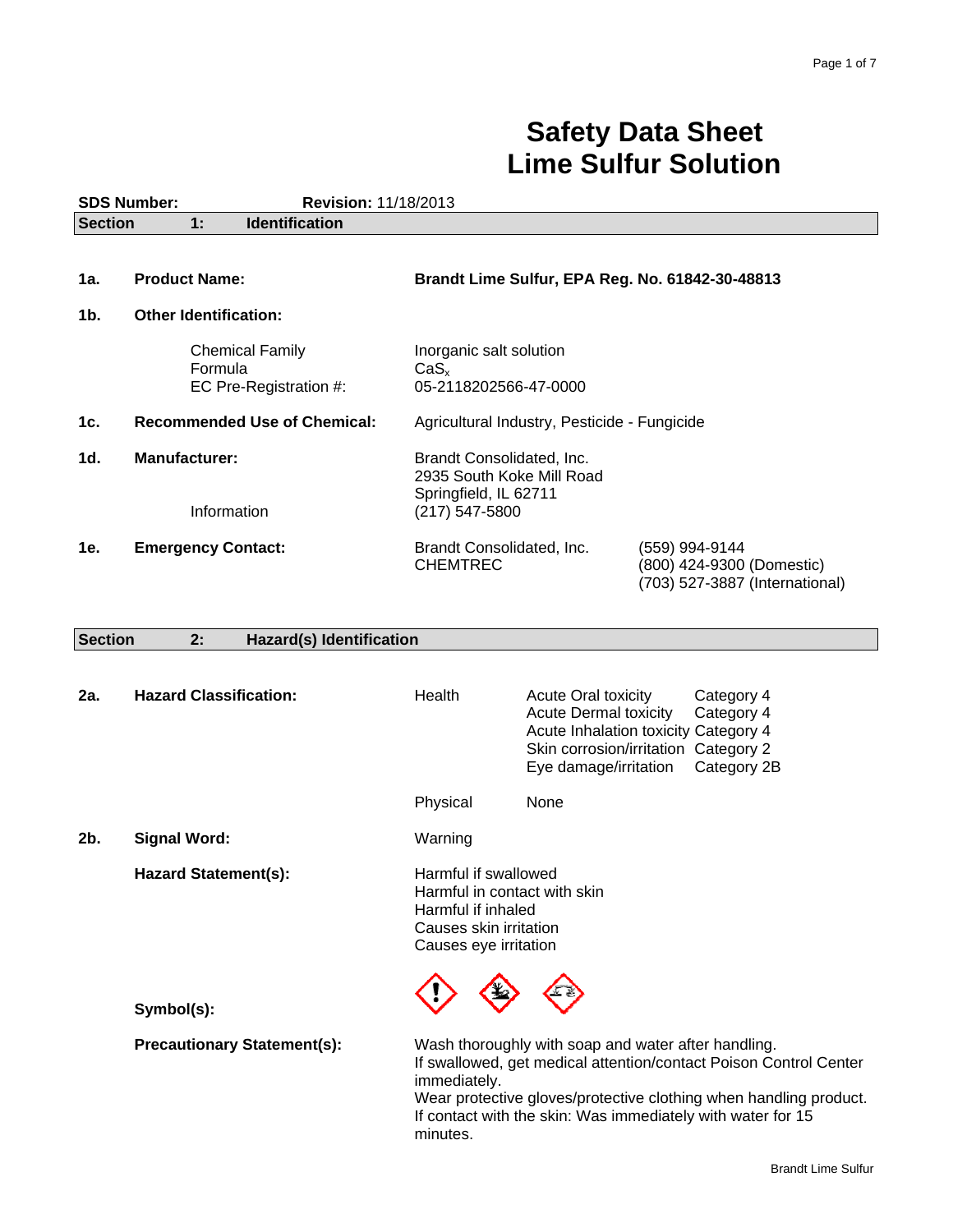# **Safety Data Sheet Lime Sulfur Solution**

| <b>SDS Number:</b><br>Revision: 11/18/2013    |                                                             |                                     |                                                                                                                               |                                                                                     |                                                                                                                                                                                                                                                              |
|-----------------------------------------------|-------------------------------------------------------------|-------------------------------------|-------------------------------------------------------------------------------------------------------------------------------|-------------------------------------------------------------------------------------|--------------------------------------------------------------------------------------------------------------------------------------------------------------------------------------------------------------------------------------------------------------|
| <b>Identification</b><br><b>Section</b><br>1: |                                                             |                                     |                                                                                                                               |                                                                                     |                                                                                                                                                                                                                                                              |
|                                               |                                                             |                                     |                                                                                                                               |                                                                                     |                                                                                                                                                                                                                                                              |
| 1a.                                           | <b>Product Name:</b>                                        |                                     |                                                                                                                               |                                                                                     | Brandt Lime Sulfur, EPA Reg. No. 61842-30-48813                                                                                                                                                                                                              |
| 1b.                                           | <b>Other Identification:</b>                                |                                     |                                                                                                                               |                                                                                     |                                                                                                                                                                                                                                                              |
|                                               | <b>Chemical Family</b><br>Formula<br>EC Pre-Registration #: |                                     | Inorganic salt solution<br>CaS <sub>x</sub><br>05-2118202566-47-0000                                                          |                                                                                     |                                                                                                                                                                                                                                                              |
| 1c.                                           |                                                             | <b>Recommended Use of Chemical:</b> |                                                                                                                               | Agricultural Industry, Pesticide - Fungicide                                        |                                                                                                                                                                                                                                                              |
| 1d.                                           | <b>Manufacturer:</b>                                        |                                     | Brandt Consolidated, Inc.<br>2935 South Koke Mill Road                                                                        |                                                                                     |                                                                                                                                                                                                                                                              |
|                                               |                                                             | Information                         | Springfield, IL 62711<br>$(217)$ 547-5800                                                                                     |                                                                                     |                                                                                                                                                                                                                                                              |
| 1e.                                           | <b>Emergency Contact:</b>                                   |                                     | Brandt Consolidated, Inc.<br><b>CHEMTREC</b>                                                                                  |                                                                                     | (559) 994-9144<br>(800) 424-9300 (Domestic)<br>(703) 527-3887 (International)                                                                                                                                                                                |
|                                               |                                                             |                                     |                                                                                                                               |                                                                                     |                                                                                                                                                                                                                                                              |
| <b>Section</b>                                | 2:                                                          | <b>Hazard(s) Identification</b>     |                                                                                                                               |                                                                                     |                                                                                                                                                                                                                                                              |
| 2a.                                           | <b>Hazard Classification:</b>                               |                                     | Health                                                                                                                        | <b>Acute Oral toxicity</b><br><b>Acute Dermal toxicity</b><br>Eye damage/irritation | Category 4<br>Category 4<br>Acute Inhalation toxicity Category 4<br>Skin corrosion/irritation Category 2<br>Category 2B                                                                                                                                      |
|                                               |                                                             |                                     | Physical                                                                                                                      | None                                                                                |                                                                                                                                                                                                                                                              |
| $2b$ .                                        | <b>Signal Word:</b>                                         |                                     | Warning                                                                                                                       |                                                                                     |                                                                                                                                                                                                                                                              |
|                                               | <b>Hazard Statement(s):</b>                                 |                                     | Harmful if swallowed<br>Harmful in contact with skin<br>Harmful if inhaled<br>Causes skin irritation<br>Causes eye irritation |                                                                                     |                                                                                                                                                                                                                                                              |
|                                               | Symbol(s):                                                  |                                     |                                                                                                                               |                                                                                     |                                                                                                                                                                                                                                                              |
|                                               |                                                             | <b>Precautionary Statement(s):</b>  | immediately.<br>minutes.                                                                                                      |                                                                                     | Wash thoroughly with soap and water after handling.<br>If swallowed, get medical attention/contact Poison Control Center<br>Wear protective gloves/protective clothing when handling product.<br>If contact with the skin: Was immediately with water for 15 |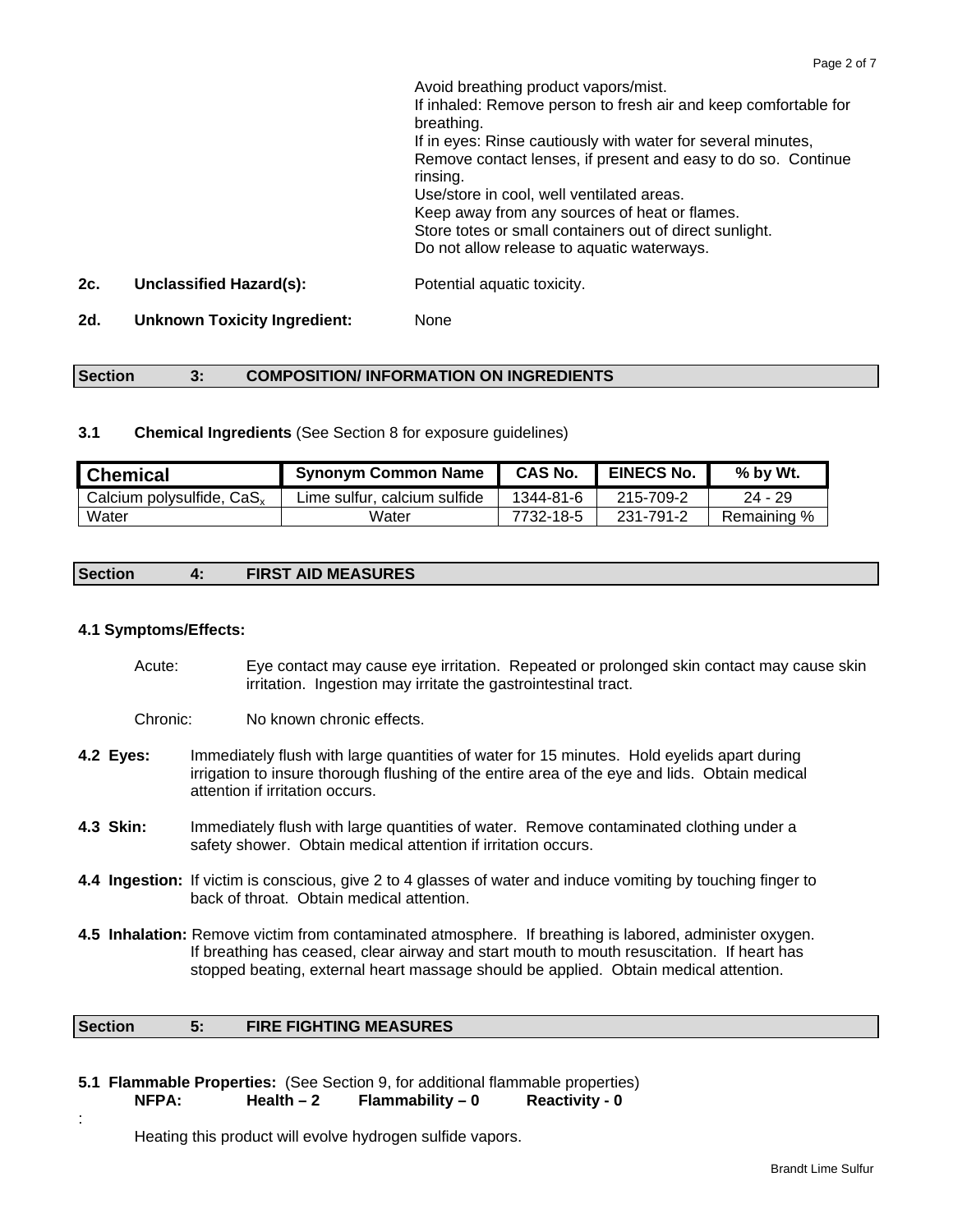Avoid breathing product vapors/mist. If inhaled: Remove person to fresh air and keep comfortable for breathing. If in eyes: Rinse cautiously with water for several minutes, Remove contact lenses, if present and easy to do so. Continue rinsing. Use/store in cool, well ventilated areas. Keep away from any sources of heat or flames. Store totes or small containers out of direct sunlight. Do not allow release to aquatic waterways. **2c. Unclassified Hazard(s):** Potential aquatic toxicity.

**2d. Unknown Toxicity Ingredient:** None

# **Section 3: COMPOSITION/ INFORMATION ON INGREDIENTS**

**3.1 Chemical Ingredients** (See Section 8 for exposure guidelines)

| <b>Chemical</b>                       | <b>Synonym Common Name</b>   | <b>CAS No.</b> | <b>EINECS No.</b> | % by Wt.    |
|---------------------------------------|------------------------------|----------------|-------------------|-------------|
| Calcium polysulfide, CaS <sub>x</sub> | Lime sulfur, calcium sulfide | 1344-81-6      | 215-709-2         | $24 - 29$   |
| Water                                 | Water                        | 7732-18-5      | 231-791-2         | Remaining % |

#### **Section 4: FIRST AID MEASURES**

# **4.1 Symptoms/Effects:**

:

- Acute: Eye contact may cause eye irritation. Repeated or prolonged skin contact may cause skin irritation. Ingestion may irritate the gastrointestinal tract.
- Chronic: No known chronic effects.
- **4.2 Eyes:** Immediately flush with large quantities of water for 15 minutes. Hold eyelids apart during irrigation to insure thorough flushing of the entire area of the eye and lids. Obtain medical attention if irritation occurs.
- **4.3 Skin:** Immediately flush with large quantities of water. Remove contaminated clothing under a safety shower. Obtain medical attention if irritation occurs.
- **4.4 Ingestion:** If victim is conscious, give 2 to 4 glasses of water and induce vomiting by touching finger to back of throat. Obtain medical attention.
- **4.5 Inhalation:** Remove victim from contaminated atmosphere. If breathing is labored, administer oxygen. If breathing has ceased, clear airway and start mouth to mouth resuscitation. If heart has stopped beating, external heart massage should be applied. Obtain medical attention.

#### **Section 5: FIRE FIGHTING MEASURES**

**5.1 Flammable Properties:** (See Section 9, for additional flammable properties) NFPA: Health – 2 Flammability – 0 Reactivity - 0

Heating this product will evolve hydrogen sulfide vapors.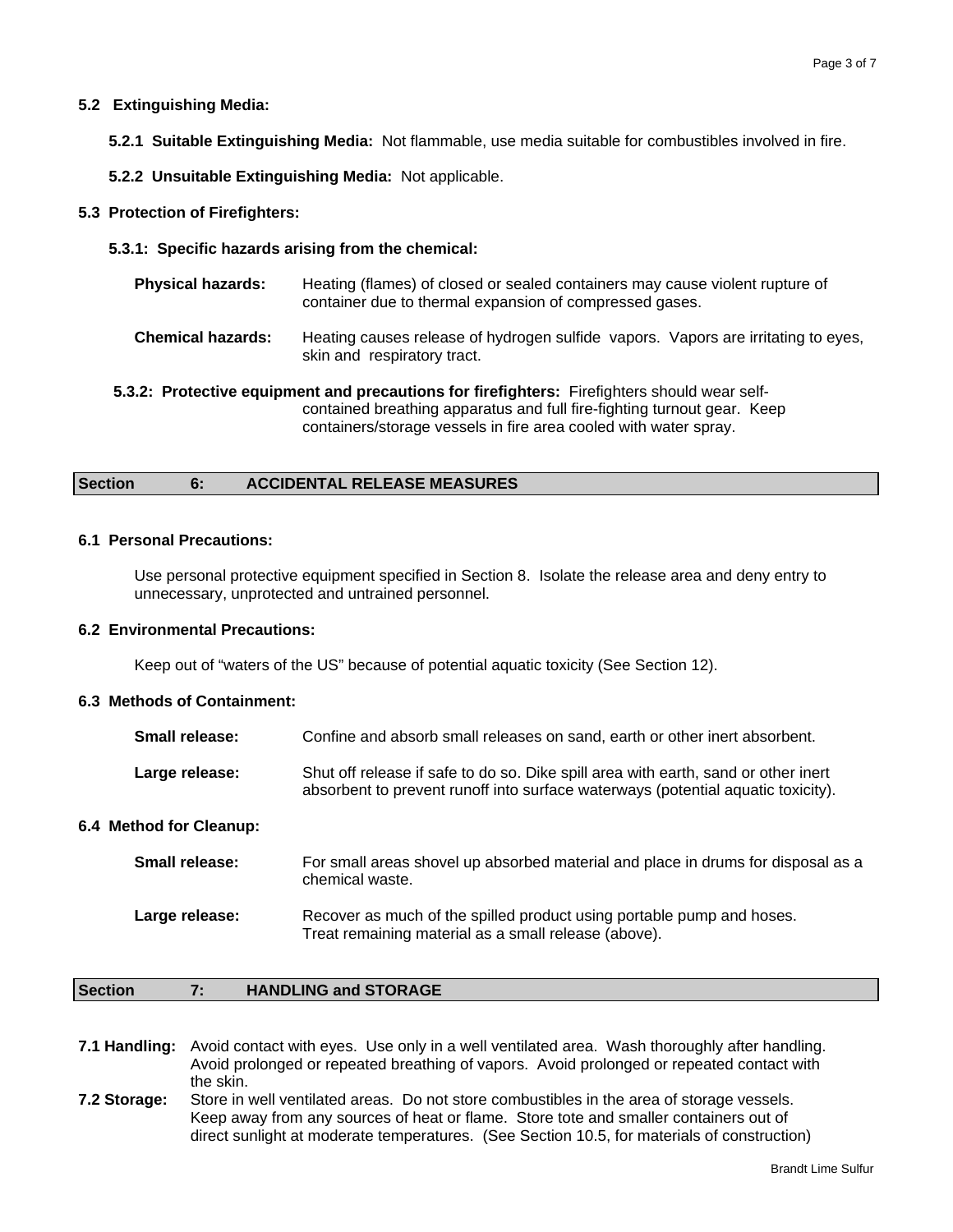#### **5.2 Extinguishing Media:**

- **5.2.1 Suitable Extinguishing Media:** Not flammable, use media suitable for combustibles involved in fire.
- **5.2.2 Unsuitable Extinguishing Media:** Not applicable.

#### **5.3 Protection of Firefighters:**

**5.3.1: Specific hazards arising from the chemical:**

| <b>Physical hazards:</b>                                                                                                                                                | Heating (flames) of closed or sealed containers may cause violent rupture of<br>container due to thermal expansion of compressed gases. |  |  |
|-------------------------------------------------------------------------------------------------------------------------------------------------------------------------|-----------------------------------------------------------------------------------------------------------------------------------------|--|--|
| <b>Chemical hazards:</b>                                                                                                                                                | Heating causes release of hydrogen sulfide vapors. Vapors are irritating to eyes,<br>skin and respiratory tract.                        |  |  |
| 5.3.2: Protective equipment and precautions for firefighters: Firefighters should wear self-<br>contained breathing apparatus and full fire-fighting turnout gear. Keep |                                                                                                                                         |  |  |

containers/storage vessels in fire area cooled with water spray.

# **Section 6: ACCIDENTAL RELEASE MEASURES**

#### **6.1 Personal Precautions:**

Use personal protective equipment specified in Section 8. Isolate the release area and deny entry to unnecessary, unprotected and untrained personnel.

#### **6.2 Environmental Precautions:**

Keep out of "waters of the US" because of potential aquatic toxicity (See Section 12).

# **6.3 Methods of Containment:**

| <b>Small release:</b> | Confine and absorb small releases on sand, earth or other inert absorbent.                                                                                             |
|-----------------------|------------------------------------------------------------------------------------------------------------------------------------------------------------------------|
| Large release:        | Shut off release if safe to do so. Dike spill area with earth, sand or other inert<br>absorbent to prevent runoff into surface waterways (potential aquatic toxicity). |

#### **6.4 Method for Cleanup:**

| <b>Small release:</b> | For small areas shovel up absorbed material and place in drums for disposal as a<br>chemical waste.                           |
|-----------------------|-------------------------------------------------------------------------------------------------------------------------------|
| Large release:        | Recover as much of the spilled product using portable pump and hoses.<br>Treat remaining material as a small release (above). |

#### **Section 7: HANDLING and STORAGE**

**7.1 Handling:** Avoid contact with eyes. Use only in a well ventilated area. Wash thoroughly after handling. Avoid prolonged or repeated breathing of vapors. Avoid prolonged or repeated contact with the skin.

**7.2 Storage:** Store in well ventilated areas. Do not store combustibles in the area of storage vessels. Keep away from any sources of heat or flame. Store tote and smaller containers out of direct sunlight at moderate temperatures. (See Section 10.5, for materials of construction)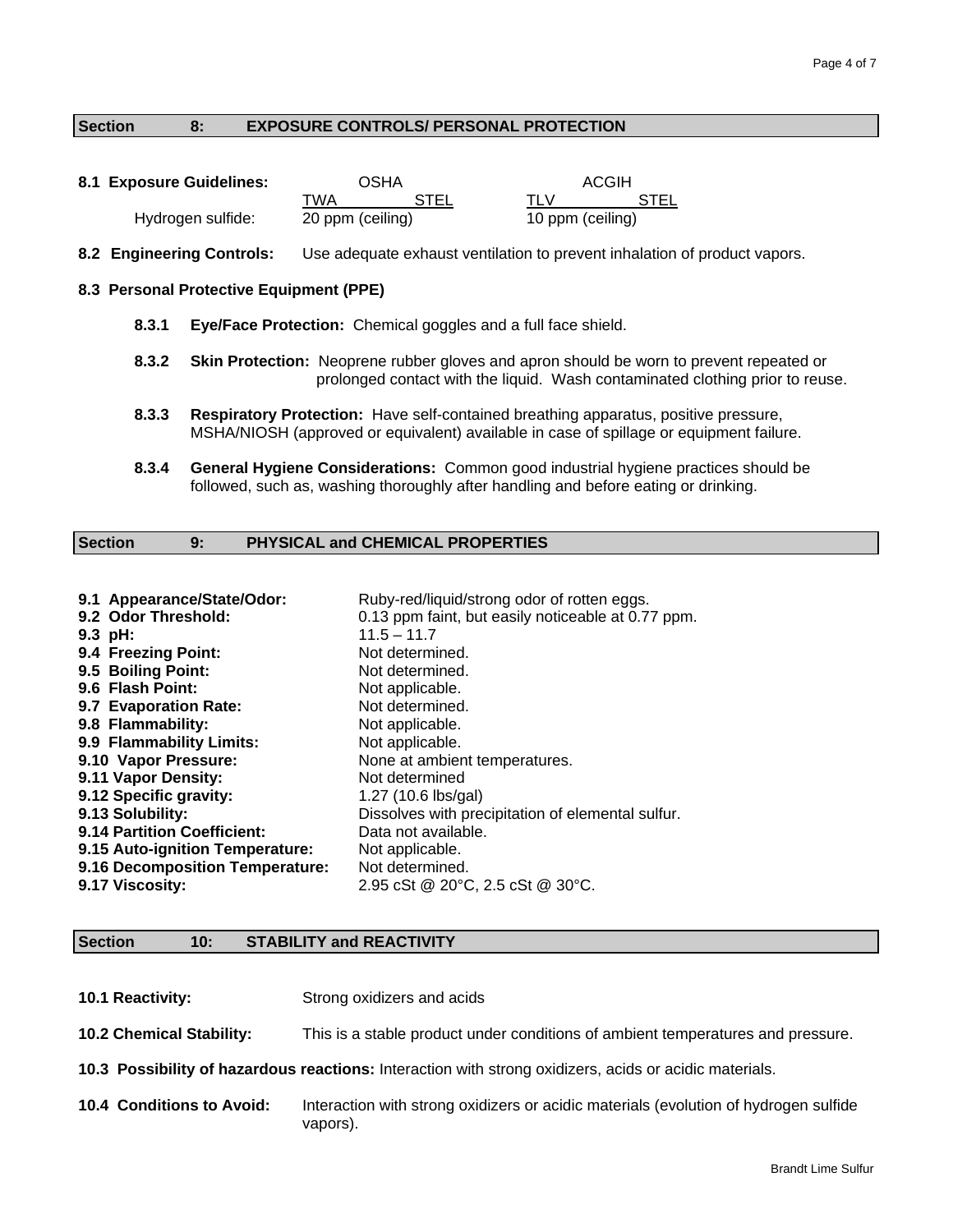#### **Section 8: EXPOSURE CONTROLS/ PERSONAL PROTECTION**

| 8.1 Exposure Guidelines: | OSHA             |             | ACGIH |                  |  |
|--------------------------|------------------|-------------|-------|------------------|--|
|                          | TWA              | <b>STEL</b> | TI V  | STEL             |  |
| Hydrogen sulfide:        | 20 ppm (ceiling) |             |       | 10 ppm (ceiling) |  |

**8.2 Engineering Controls:** Use adequate exhaust ventilation to prevent inhalation of product vapors.

#### **8.3 Personal Protective Equipment (PPE)**

- **8.3.1 Eye/Face Protection:** Chemical goggles and a full face shield.
- **8.3.2 Skin Protection:** Neoprene rubber gloves and apron should be worn to prevent repeated or prolonged contact with the liquid. Wash contaminated clothing prior to reuse.
- **8.3.3 Respiratory Protection:** Have self-contained breathing apparatus, positive pressure, MSHA/NIOSH (approved or equivalent) available in case of spillage or equipment failure.
- **8.3.4 General Hygiene Considerations:** Common good industrial hygiene practices should be followed, such as, washing thoroughly after handling and before eating or drinking.

### **Section 9: PHYSICAL and CHEMICAL PROPERTIES**

| 9.1 Appearance/State/Odor:      | Ruby-red/liquid/strong odor of rotten eggs.        |
|---------------------------------|----------------------------------------------------|
| 9.2 Odor Threshold:             | 0.13 ppm faint, but easily noticeable at 0.77 ppm. |
| $9.3$ pH:                       | $11.5 - 11.7$                                      |
| 9.4 Freezing Point:             | Not determined.                                    |
| 9.5 Boiling Point:              | Not determined.                                    |
| 9.6 Flash Point:                | Not applicable.                                    |
| 9.7 Evaporation Rate:           | Not determined.                                    |
| 9.8 Flammability:               | Not applicable.                                    |
| 9.9 Flammability Limits:        | Not applicable.                                    |
| 9.10 Vapor Pressure:            | None at ambient temperatures.                      |
| 9.11 Vapor Density:             | Not determined                                     |
| 9.12 Specific gravity:          | 1.27 (10.6 lbs/gal)                                |
| 9.13 Solubility:                | Dissolves with precipitation of elemental sulfur.  |
| 9.14 Partition Coefficient:     | Data not available.                                |
| 9.15 Auto-ignition Temperature: | Not applicable.                                    |
| 9.16 Decomposition Temperature: | Not determined.                                    |
| 9.17 Viscosity:                 | 2.95 cSt @ 20°C, 2.5 cSt @ 30°C.                   |

#### **Section 10: STABILITY and REACTIVITY**

**10.1 Reactivity:** Strong oxidizers and acids **10.2 Chemical Stability:** This is a stable product under conditions of ambient temperatures and pressure. **10.3 Possibility of hazardous reactions:** Interaction with strong oxidizers, acids or acidic materials. **10.4 Conditions to Avoid:** Interaction with strong oxidizers or acidic materials (evolution of hydrogen sulfide vapors).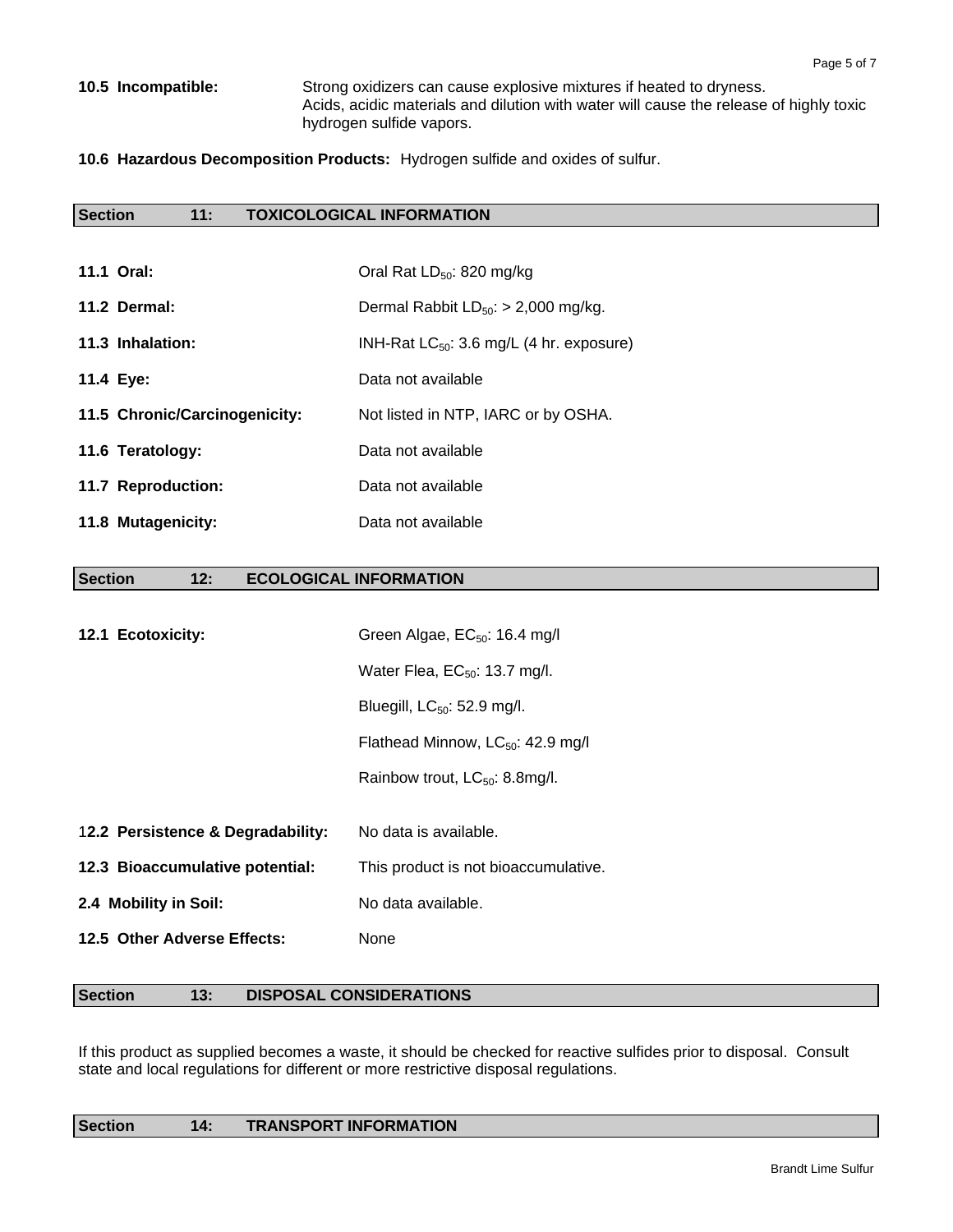**10.5 Incompatible:** Strong oxidizers can cause explosive mixtures if heated to dryness. Acids, acidic materials and dilution with water will cause the release of highly toxic hydrogen sulfide vapors.

**10.6 Hazardous Decomposition Products:** Hydrogen sulfide and oxides of sulfur.

# **Section 11: TOXICOLOGICAL INFORMATION**

| <b>11.1 Oral:</b>             | Oral Rat $LD_{50}$ : 820 mg/kg                |
|-------------------------------|-----------------------------------------------|
| 11.2 Dermal:                  | Dermal Rabbit $LD_{50}$ : > 2,000 mg/kg.      |
| 11.3 Inhalation:              | INH-Rat $LC_{50}$ : 3.6 mg/L (4 hr. exposure) |
| 11.4 Eye:                     | Data not available                            |
| 11.5 Chronic/Carcinogenicity: | Not listed in NTP, IARC or by OSHA.           |
| 11.6 Teratology:              | Data not available                            |
| 11.7 Reproduction:            | Data not available                            |
| 11.8 Mutagenicity:            | Data not available                            |

#### **Section 12: ECOLOGICAL INFORMATION**

| 12.1 Ecotoxicity:                 | Green Algae, $EC_{50}$ : 16.4 mg/l            |  |  |
|-----------------------------------|-----------------------------------------------|--|--|
|                                   | Water Flea, $EC_{50}$ : 13.7 mg/l.            |  |  |
|                                   | Bluegill, $LC_{50}$ : 52.9 mg/l.              |  |  |
|                                   | Flathead Minnow, LC <sub>50</sub> : 42.9 mg/l |  |  |
|                                   | Rainbow trout, LC <sub>50</sub> : 8.8mg/l.    |  |  |
|                                   |                                               |  |  |
| 12.2 Persistence & Degradability: | No data is available.                         |  |  |
| 12.3 Bioaccumulative potential:   | This product is not bioaccumulative.          |  |  |
| 2.4 Mobility in Soil:             | No data available.                            |  |  |
| 12.5 Other Adverse Effects:       | None                                          |  |  |

# Section 13: DISPOSAL CONSIDERATIONS

If this product as supplied becomes a waste, it should be checked for reactive sulfides prior to disposal. Consult state and local regulations for different or more restrictive disposal regulations.

# Section **14: TRANSPORT INFORMATION**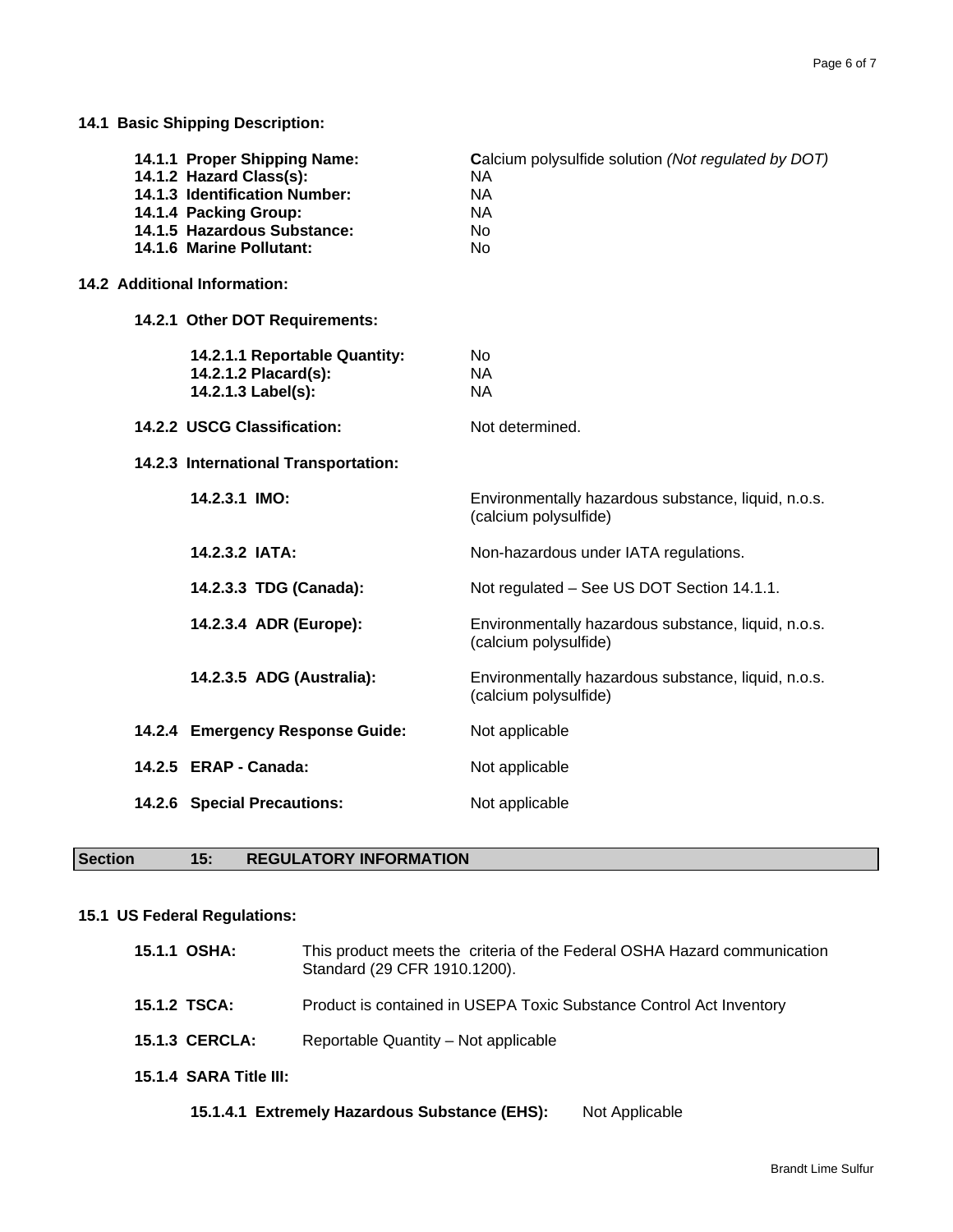**14.1 Basic Shipping Description:** 

| 14.1.1 Proper Shipping Name:<br>14.1.2 Hazard Class(s):<br>14.1.3 Identification Number:<br>14.1.4 Packing Group:<br>14.1.5 Hazardous Substance:<br>14.1.6 Marine Pollutant: | Calcium polysulfide solution (Not regulated by DOT)<br><b>NA</b><br><b>NA</b><br><b>NA</b><br><b>No</b><br><b>No</b> |
|------------------------------------------------------------------------------------------------------------------------------------------------------------------------------|----------------------------------------------------------------------------------------------------------------------|
| <b>14.2 Additional Information:</b>                                                                                                                                          |                                                                                                                      |
| 14.2.1 Other DOT Requirements:                                                                                                                                               |                                                                                                                      |
| 14.2.1.1 Reportable Quantity:<br>14.2.1.2 Placard(s):<br>14.2.1.3 Label(s):                                                                                                  | <b>No</b><br><b>NA</b><br><b>NA</b>                                                                                  |
| 14.2.2 USCG Classification:                                                                                                                                                  | Not determined.                                                                                                      |
| 14.2.3 International Transportation:                                                                                                                                         |                                                                                                                      |
| 14.2.3.1 IMO:                                                                                                                                                                | Environmentally hazardous substance, liquid, n.o.s.<br>(calcium polysulfide)                                         |
| 14.2.3.2 IATA:                                                                                                                                                               | Non-hazardous under IATA regulations.                                                                                |
| 14.2.3.3 TDG (Canada):                                                                                                                                                       | Not regulated - See US DOT Section 14.1.1.                                                                           |
| 14.2.3.4 ADR (Europe):                                                                                                                                                       | Environmentally hazardous substance, liquid, n.o.s.<br>(calcium polysulfide)                                         |
| 14.2.3.5 ADG (Australia):                                                                                                                                                    | Environmentally hazardous substance, liquid, n.o.s.<br>(calcium polysulfide)                                         |
| 14.2.4 Emergency Response Guide:                                                                                                                                             | Not applicable                                                                                                       |
| 14.2.5 ERAP - Canada:                                                                                                                                                        | Not applicable                                                                                                       |
| 14.2.6 Special Precautions:                                                                                                                                                  | Not applicable                                                                                                       |
|                                                                                                                                                                              |                                                                                                                      |

# **Section 15: REGULATORY INFORMATION**

# **15.1 US Federal Regulations:**

| 15.1.1 OSHA:           | This product meets the criteria of the Federal OSHA Hazard communication<br>Standard (29 CFR 1910.1200). |
|------------------------|----------------------------------------------------------------------------------------------------------|
| 15.1.2 TSCA:           | Product is contained in USEPA Toxic Substance Control Act Inventory                                      |
| <b>15.1.3 CERCLA:</b>  | Reportable Quantity - Not applicable                                                                     |
| 15.1.4 SARA Title III: |                                                                                                          |
|                        |                                                                                                          |

15.1.4.1 Extremely Hazardous Substance (EHS): Not Applicable